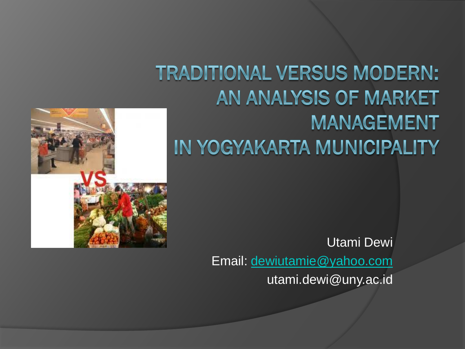#### **TRADITIONAL VERSUS MODERN:** AN ANALYSIS OF MARKET **MANAGEMENT** IN YOGYAKARTA MUNICIPALITY



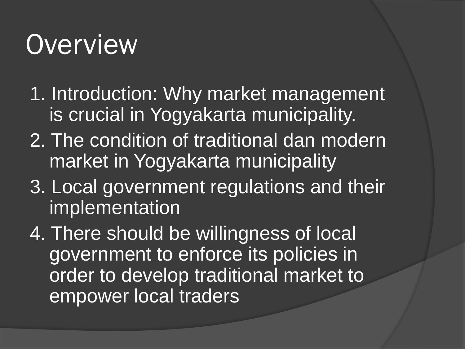## **Overview**

- 1. Introduction: Why market management is crucial in Yogyakarta municipality.
- 2. The condition of traditional dan modern market in Yogyakarta municipality
- 3. Local government regulations and their implementation
- 4. There should be willingness of local government to enforce its policies in order to develop traditional market to empower local traders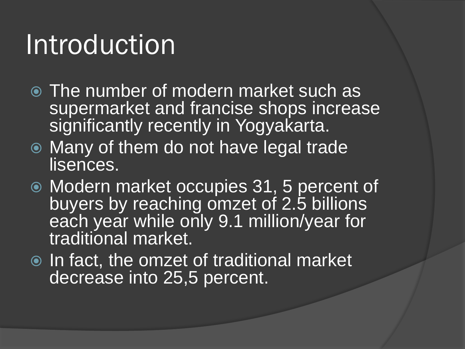#### Introduction

- The number of modern market such as supermarket and francise shops increase significantly recently in Yogyakarta.
- Many of them do not have legal trade lisences.
- Modern market occupies 31, 5 percent of buyers by reaching omzet of 2.5 billions each year while only 9.1 million/year for traditional market.
- **■** In fact, the omzet of traditional market decrease into 25,5 percent.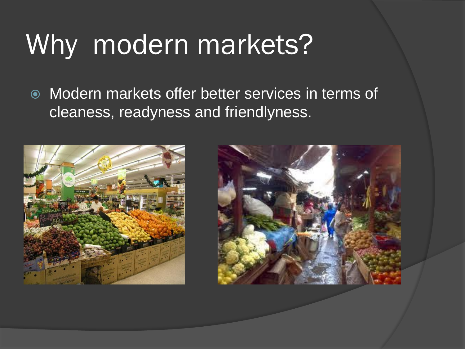## Why modern markets?

 Modern markets offer better services in terms of cleaness, readyness and friendlyness.



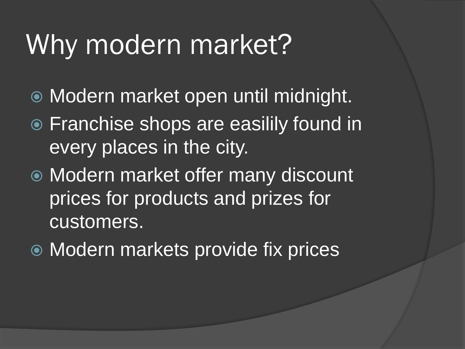### Why modern market?

- Modern market open until midnight.
- Franchise shops are easilily found in every places in the city.
- Modern market offer many discount prices for products and prizes for customers.
- Modern markets provide fix prices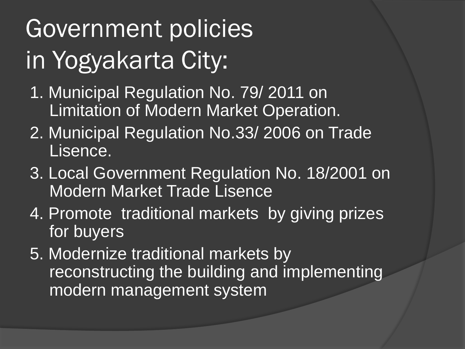# Government policies in Yogyakarta City:

- 1. Municipal Regulation No. 79/ 2011 on Limitation of Modern Market Operation.
- 2. Municipal Regulation No.33/ 2006 on Trade Lisence.
- 3. Local Government Regulation No. 18/2001 on Modern Market Trade Lisence
- 4. Promote traditional markets by giving prizes for buyers
- 5. Modernize traditional markets by reconstructing the building and implementing modern management system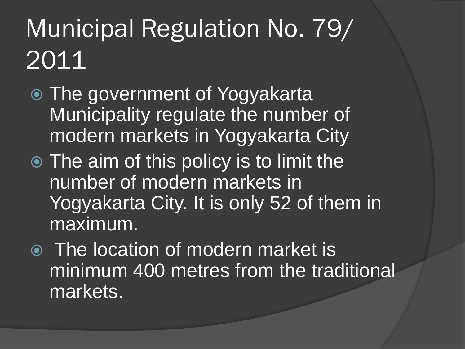### Municipal Regulation No. 79/ 2011

- The government of Yogyakarta Municipality regulate the number of modern markets in Yogyakarta City
- The aim of this policy is to limit the number of modern markets in Yogyakarta City. It is only 52 of them in maximum.
- The location of modern market is minimum 400 metres from the traditional markets.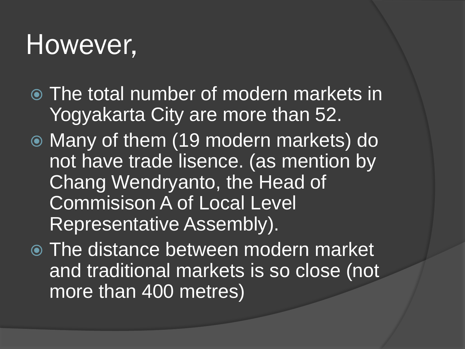#### However,

- The total number of modern markets in Yogyakarta City are more than 52.
- Many of them (19 modern markets) do not have trade lisence. (as mention by Chang Wendryanto, the Head of Commisison A of Local Level Representative Assembly).

 The distance between modern market and traditional markets is so close (not more than 400 metres)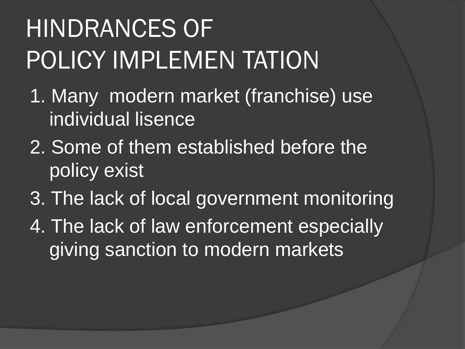# HINDRANCES OF POLICY IMPLEMEN TATION

- 1. Many modern market (franchise) use individual lisence
- 2. Some of them established before the policy exist
- 3. The lack of local government monitoring
- 4. The lack of law enforcement especially giving sanction to modern markets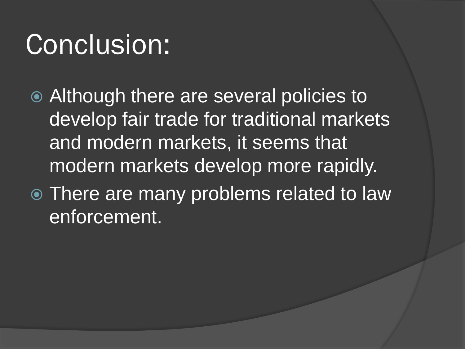### Conclusion:

- Although there are several policies to develop fair trade for traditional markets and modern markets, it seems that modern markets develop more rapidly.
- There are many problems related to law enforcement.